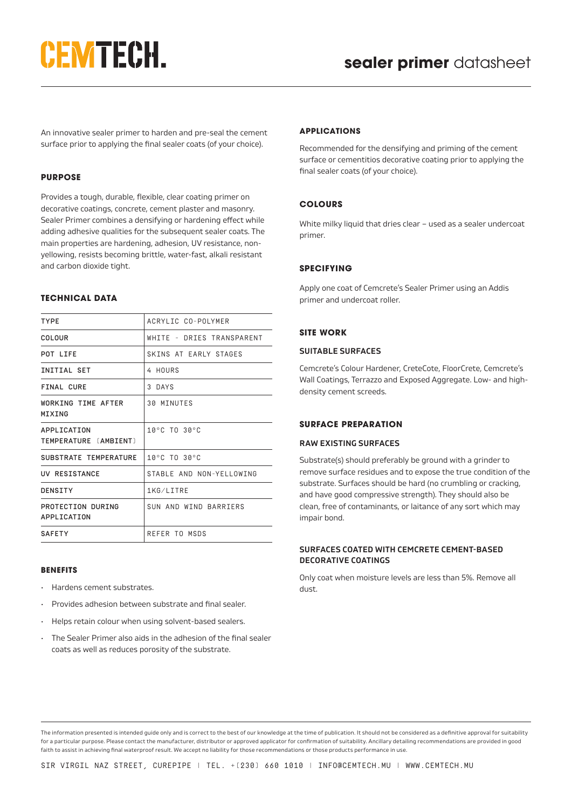# **CEMTECH.**

An innovative sealer primer to harden and pre-seal the cement surface prior to applying the final sealer coats (of your choice).

### **PURPOSE**

Provides a tough, durable, flexible, clear coating primer on decorative coatings, concrete, cement plaster and masonry. Sealer Primer combines a densifying or hardening effect while adding adhesive qualities for the subsequent sealer coats. The main properties are hardening, adhesion, UV resistance, nonyellowing, resists becoming brittle, water-fast, alkali resistant and carbon dioxide tight.

### **TECHNICAL DATA**

| <b>TYPE</b>                          | ACRYLIC CO-POLYMER               |
|--------------------------------------|----------------------------------|
| COLOUR                               | WHITE - DRIES TRANSPARENT        |
| POT LIFE                             | SKINS AT EARLY STAGES            |
| INITIAL SET                          | 4 HOURS                          |
| <b>FINAL CURE</b>                    | 3 DAYS                           |
| WORKING TIME AFTER<br>MIXING         | 30 MINUTES                       |
| APPLICATION<br>TEMPERATURE [AMBIENT] | $10^{\circ}$ C TO $30^{\circ}$ C |
| SUBSTRATE TEMPERATURE                | $10^{\circ}$ C TO $30^{\circ}$ C |
| UV RESISTANCE                        | STABLE AND NON-YELLOWING         |
| DENSITY                              | 1KG/LITRE                        |
| PROTECTION DURING<br>APPLICATION     | SUN AND WIND BARRIERS            |
| <b>SAFETY</b>                        | REFER TO MSDS                    |
|                                      |                                  |

#### **BENEFITS**

- Hardens cement substrates.
- Provides adhesion between substrate and final sealer.
- Helps retain colour when using solvent-based sealers.
- The Sealer Primer also aids in the adhesion of the final sealer coats as well as reduces porosity of the substrate.

### **APPLICATIONS**

Recommended for the densifying and priming of the cement surface or cementitios decorative coating prior to applying the final sealer coats (of your choice).

### **COLOURS**

White milky liquid that dries clear – used as a sealer undercoat primer.

## **SPECIFYING**

Apply one coat of Cemcrete's Sealer Primer using an Addis primer and undercoat roller.

## **SITE WORK**

### **SUITABLE SURFACES**

Cemcrete's Colour Hardener, CreteCote, FloorCrete, Cemcrete's Wall Coatings, Terrazzo and Exposed Aggregate. Low- and highdensity cement screeds.

### **SURFACE PREPARATION**

### **RAW EXISTING SURFACES**

Substrate(s) should preferably be ground with a grinder to remove surface residues and to expose the true condition of the substrate. Surfaces should be hard (no crumbling or cracking, and have good compressive strength). They should also be clean, free of contaminants, or laitance of any sort which may impair bond.

### **SURFACES COATED WITH CEMCRETE CEMENT-BASED DECORATIVE COATINGS**

Only coat when moisture levels are less than 5%. Remove all dust.

The information presented is intended guide only and is correct to the best of our knowledge at the time of publication. It should not be considered as a definitive approval for suitability for a particular purpose. Please contact the manufacturer, distributor or approved applicator for confirmation of suitability. Ancillary detailing recommendations are provided in good faith to assist in achieving final waterproof result. We accept no liability for those recommendations or those products performance in use.